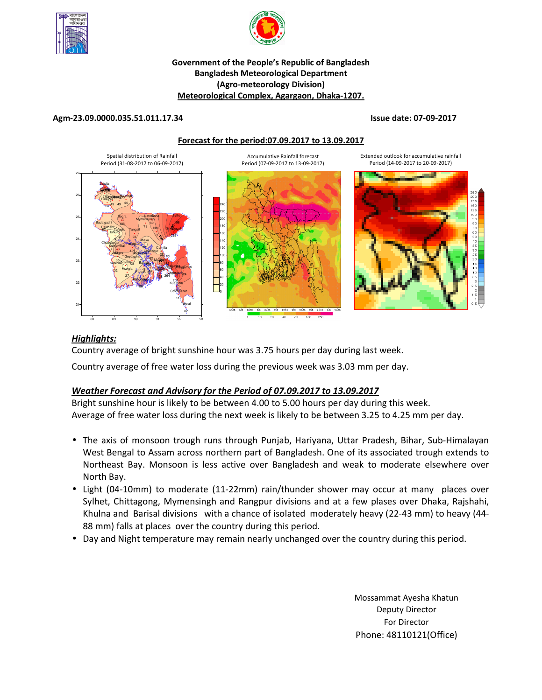



## **Government of the People's Republic of Bangladesh Bangladesh Meteorological Department (Agro-meteorology Division) Meteorological Complex, Agargaon, Dhaka-1207.**

### **Agm-23.09.0000.035.51.011.17.34 Issue date: 07-09-2017**

#### **Forecast for the period:07.09.2017 to 13.09.2017**



## *Highlights:*

Country average of bright sunshine hour was 3.75 hours per day during last week.

Country average of free water loss during the previous week was 3.03 mm per day.

# *Weather Forecast and Advisory for the Period of 07.09.2017 to 13.09.2017*

Bright sunshine hour is likely to be between 4.00 to 5.00 hours per day during this week. Average of free water loss during the next week is likely to be between 3.25 to 4.25 mm per day.

- The axis of monsoon trough runs through Punjab, Hariyana, Uttar Pradesh, Bihar, Sub-Himalayan West Bengal to Assam across northern part of Bangladesh. One of its associated trough extends to Northeast Bay. Monsoon is less active over Bangladesh and weak to moderate elsewhere over North Bay.
- Light (04-10mm) to moderate (11-22mm) rain/thunder shower may occur at many places over Sylhet, Chittagong, Mymensingh and Rangpur divisions and at a few plases over Dhaka, Rajshahi, Khulna and Barisal divisions with a chance of isolated moderately heavy (22-43 mm) to heavy (44- 88 mm) falls at places over the country during this period.
- Day and Night temperature may remain nearly unchanged over the country during this period.

**N.B** Mossammat Ayesha Khatun Deputy Director For Director Phone: 48110121(Office)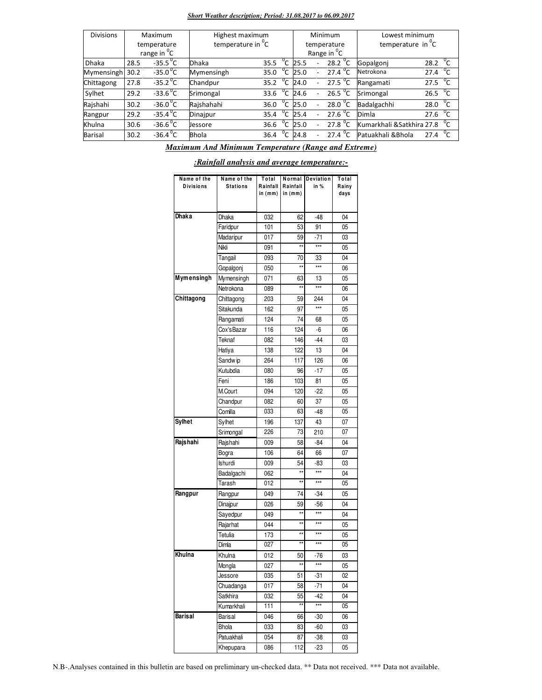#### *Short Weather description; Period: 31.08.2017 to 06.09.2017*

| <b>Divisions</b> | Maximum |                         | Highest maximum               |                | Minimum |                          |                         | Lowest minimum            |                      |
|------------------|---------|-------------------------|-------------------------------|----------------|---------|--------------------------|-------------------------|---------------------------|----------------------|
|                  |         | temperature             | temperature in <sup>"</sup> C |                |         |                          | temperature             | temperature in C          |                      |
|                  |         | range in <sup>0</sup> C |                               |                |         |                          | Range in <sup>O</sup> C |                           |                      |
| <b>Dhaka</b>     | 28.5    | $-35.5^{\circ}$ C       | <b>Dhaka</b>                  | °C<br>35.5     | 25.5    |                          | 28.2 $\degree$ C        | Gopalgoni                 | $^{0}C$<br>28.2      |
| Mymensingh       | 30.2    | $-35.0$ <sup>o</sup> C  | Mymensingh                    | °c<br>35.0     | 25.0    |                          | 27.4 <sup>o</sup> C     | Netrokona                 | $^0C$<br>27.4        |
| Chittagong       | 27.8    | $-35.2$ <sup>o</sup> C  | Chandpur                      | °c<br>35.2     | 24.0    |                          | 27.5 $^{\circ}$ C       | Rangamati                 | 27.5 $\mathrm{C}$    |
| Sylhet           | 29.2    | $-33.6^{\circ}C$        | Srimongal                     | °c<br>33.6     | 24.6    |                          | 26.5 <sup>0</sup> C     | Srimongal                 | 26.5 $^{0}C$         |
| Rajshahi         | 30.2    | $-36.0^{\circ}$ C       | Rajshahahi                    | $^0$ C<br>36.0 | 25.0    | $\overline{\phantom{0}}$ | 28.0 $^{\circ}$ C       | Badalgachhi               | $^{\circ}$ c<br>28.0 |
| Rangpur          | 29.2    | $-35.4\,^{\circ}$ C     | Dinajpur                      | $^0C$<br>35.4  | 25.4    |                          | 27.6 $^0C$              | Dimla                     | $^0$ C<br>27.6       |
| Khulna           | 30.6    | $-36.6^{\circ}$ C       | Jessore                       | °c<br>36.6     | 25.0    |                          | 27.8 $^{\circ}$ C       | Kumarkhali &Satkhira 27.8 |                      |
| Barisal          | 30.2    | $-36.4\degree$ C        | <b>Bhola</b>                  | $^0$ C<br>36.4 | 24.8    |                          | 27.4 $^{\circ}$ C       | Patuakhali & Bhola        | $^0C$<br>27.4        |

*Maximum And Minimum Temperature (Range and Extreme)*

| Name of the<br><b>Divisions</b> | Name of the<br><b>Stations</b> | Total<br>Rainfall<br>in (mm) | Normal<br>Rainfall<br>in (mm) | Deviation<br>in % | Total<br>Rainy<br>days |
|---------------------------------|--------------------------------|------------------------------|-------------------------------|-------------------|------------------------|
| <b>Dhaka</b>                    | Dhaka                          | 032                          | 62                            | $-48$             | 04                     |
|                                 | Faridpur                       | 101                          | 53                            | 91                | 05                     |
|                                 | Madaripur                      | 017                          | 59                            | $-71$             | 03                     |
|                                 | Nikli                          | 091                          | **                            | $***$             | 05                     |
|                                 | Tangail                        | 093                          | 70                            | 33                | 04                     |
|                                 | Gopalgonj                      | 050                          | $\star\star$                  | $***$             | 06                     |
| Mymensingh                      | Mymensingh                     | 071                          | 63                            | 13                | 05                     |
|                                 | Netrokona                      | 089                          | $\star\star$                  | $***$             | 06                     |
| Chittagong                      | Chittagong                     | 203                          | 59                            | 244               | 04                     |
|                                 | Sitakunda                      | 162                          | 97                            | $***$             | 05                     |
|                                 | Rangamati                      | 124                          | 74                            | 68                | 05                     |
|                                 | Cox'sBazar                     | 116                          | 124                           | $-6$              | 06                     |
|                                 | Teknaf                         | 082                          | 146                           | $-44$             | 03                     |
|                                 | Hatiya                         | 138                          | 122                           | 13                | 04                     |
|                                 | Sandw ip                       | 264                          | 117                           | 126               | 06                     |
|                                 | Kutubdia                       | 080                          | 96                            | $-17$             | 05                     |
|                                 | Feni                           | 186                          | 103                           | 81                | 05                     |
|                                 | M.Court                        | 094                          | 120                           | $-22$             | 05                     |
|                                 | Chandpur                       | 082                          | 60                            | 37                | 05                     |
|                                 | Comilla                        | 033                          | 63                            | $-48$             | 05                     |
| Sylhet                          | Sylhet                         | 196                          | 137                           | 43                | 07                     |
|                                 | Srimongal                      | 226                          | 73                            | 210               | 07                     |
| Rajshahi                        | Rajshahi                       | 009                          | 58                            | $-84$             | 04                     |
|                                 | Bogra                          | 106                          | 64                            | 66                | 07                     |
|                                 | <b>Ishurdi</b>                 | 009                          | 54                            | $-83$             | 03                     |
|                                 | Badalgachi                     | 062                          | **                            | $***$             | 04                     |
|                                 | Tarash                         | 012                          | **                            | ***               | 05                     |
| Rangpur                         | Rangpur                        | 049                          | 74                            | $-34$             | 05                     |
|                                 | Dinajpur                       | 026                          | 59                            | -56               | 04                     |
|                                 | Sayedpur                       | 049                          | $\star\star$                  | $***$             | 04                     |
|                                 | Rajarhat                       | 044                          | $\star\star$                  | ***               | 05                     |
|                                 | Tetulia                        | 173                          | **                            | $***$             | 05                     |
|                                 | Dimla                          | 027                          | $\overline{\phantom{a}}$      | ***               | 05                     |
| Khulna                          | Khulna                         | 012                          | 50                            | $-76$             | 03                     |
|                                 | Mongla                         | 027                          | $\star\star$                  |                   | 05                     |
|                                 | Jessore                        | 035                          | 51                            | $-31$             | 02                     |
|                                 | Chuadanga                      | 017                          | 58                            | -71               | 04                     |
|                                 | Satkhira                       | 032                          | 55                            | $-42$             | 04                     |
|                                 | Kumarkhali                     | 111                          | **                            | ***               | 05                     |
| Barisal                         | Barisal                        | 046                          | 66                            | -30               | 06                     |
|                                 | Bhola                          | 033                          | 83                            | -60               | 03                     |
|                                 |                                |                              |                               |                   |                        |
|                                 | Patuakhali                     | 054                          | 87                            | $-38$             | 03                     |

# *:Rainfall analysis and average temperature:-*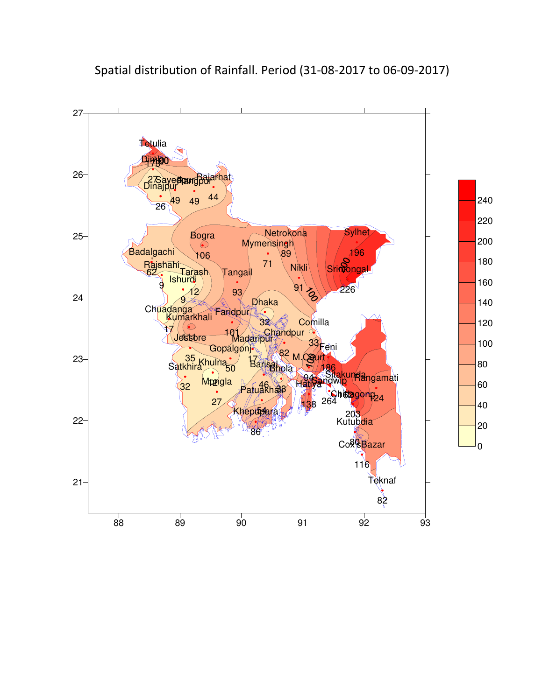

Spatial distribution of Rainfall. Period (31-08-2017 to 06-09-2017)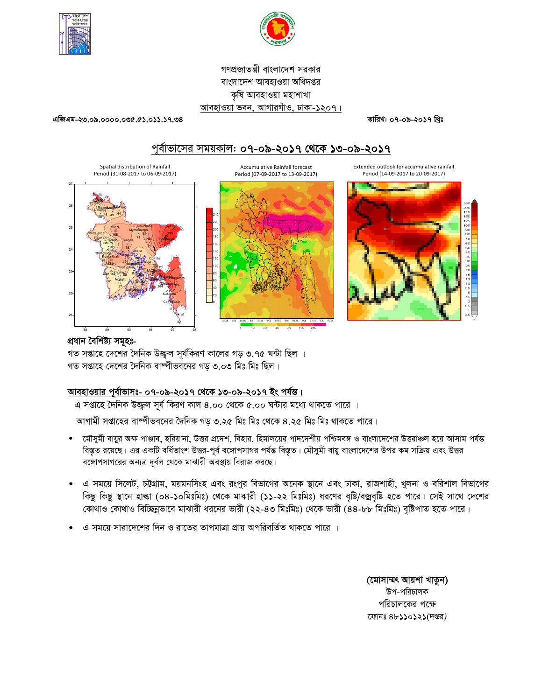



# গণপ্রজাতন্ত্রী বাংলাদেশ সরকার বাংলাদেশ আবহাওয়া অধিদপ্তর কৃষি আবহাওয়া মহাশাখা আবহাওয়া ভবন, আগারগাঁও, ঢাকা-১২০৭।

এজিএম-২৩.০৯.০০০০.০৩৫.৫১.০১১.১৭.৩৪

তারিখ: ০৭-০৯-২০১৭ খিঃ

# পূর্বাভাসের সময়কাল: ০৭-০৯-২০১৭ থেকে ১৩-০৯-২০১৭



## প্ৰধান বৈশিষ্ট্য সমূহঃ-

গত সপ্তাহে দেশের দৈনিক উজ্জল সূর্যকিরণ কালের গড় ৩.৭৫ ঘন্টা ছিল । গত সপ্তাহে দেশের দৈনিক বাষ্পীভবনের গড় ৩.০৩ মিঃ মিঃ ছিল।

# আবহাওয়ার পূর্বাভাসঃ- ০৭-০৯-২০১৭ থেকে ১৩-০৯-২০১৭ ইং পর্যন্ত।

এ সপ্তাহে দৈনিক উজ্জুল সূর্য কিরণ কাল ৪.০০ থেকে ৫.০০ ঘন্টার মধ্যে থাকতে পারে ।

আগামী সপ্তাহের বাষ্পীভবনের দৈনিক গড় ৩.২৫ মিঃ মিঃ থেকে ৪.২৫ মিঃ মিঃ থাকতে পারে।

- মৌসুমী বায়ুর অক্ষ পাঞ্জাব, হরিয়ানা, উত্তর প্রদেশ, বিহার, হিমালয়ের পাদদেশীয় পশ্চিমবঙ্গ ও বাংলাদেশের উত্তরাঞ্চল হয়ে আসাম পর্যন্ত বিস্তৃত রয়েছে। এর একটি বর্ধিতাংশ উত্তর-পূর্ব বঙ্গোপসাগর পর্যন্ত বিস্তৃত। মৌসুমী বায়ু বাংলাদেশের উপর কম সক্রিয় এবং উত্তর বঙ্গোপসাগরের অন্যত্র দূর্বল থেকে মাঝারী অবস্থায় বিরাজ করছে।
- এ সময়ে সিলেট, চট্টগ্রাম, ময়মনসিংহ এবং রংপুর বিভাগের অনেক স্থানে এবং ঢাকা, রাজশাহী, খুলনা ও বরিশাল বিভাগের কিছু কিছু স্থানে হাল্কা (০৪-১০মিঃমিঃ) থেকে মাঝারী (১১-২২ মিঃমিঃ) ধরণের বৃষ্টি/বজ্রবৃষ্টি হতে পারে। সেই সাথে দেশের কোথাও কোথাও বিচ্ছিন্নভাবে মাঝারী ধরনের ভারী (২২-৪৩ মিঃমিঃ) থেকে ভারী (৪৪-৮৮ মিঃমিঃ) বৃষ্টিপাত হতে পারে।
- এ সময়ে সারাদেশের দিন ও রাতের তাপমাত্রা প্রায় অপরিবর্তিত থাকতে পারে ।

(মোসাম্মৎ আয়শা খাতুন) উপ-পরিচালক পরিচালকের পক্ষে ফোনঃ ৪৮১১০১২১(দপ্তর)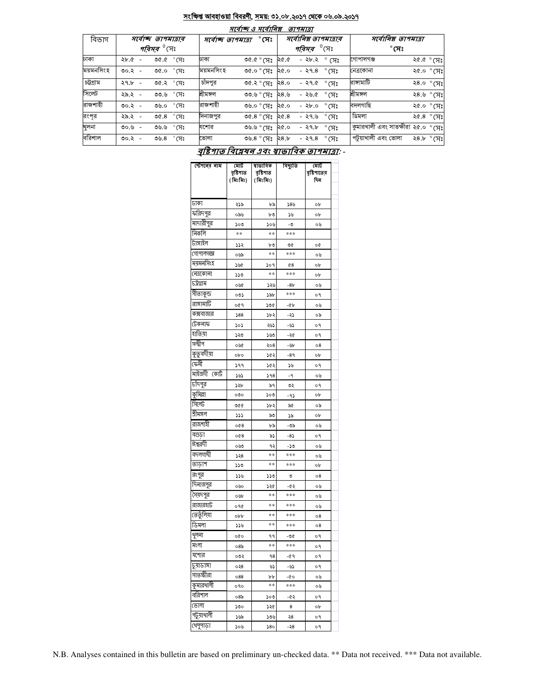#### সংক্ষিপ্ত আবহাওয়া বিবরণী, সময়: ৩১.০৮.২০১৭ থেকে ০৬.০৯.২০১৭  $\frac{1}{2}$

|           |                     |                                    |           | $701970$ ס איוואו                             |      | ונומדוש                  |                          |                                             |                     |            |
|-----------|---------------------|------------------------------------|-----------|-----------------------------------------------|------|--------------------------|--------------------------|---------------------------------------------|---------------------|------------|
| বিভাগ     | সৰ্বোচ্ছ তাপমাত্ৰাৰ |                                    |           | $^\circ$ সেঃ<br>সৰ্বোচ্ছ তাপমাত্ৰা            |      | সর্বোনিম্ন তাপমাত্রার    |                          | সর্বোনিম্ন তাপমাত্রা                        |                     |            |
|           |                     | <i>পরিসর <sup>৩</sup></i> সেঃ      |           |                                               |      | পৰিসৰ                    | $^0$ সেঃ                 | $^\circ$ সেঃ                                |                     |            |
| ঢাকা      | $2b.6 -$            | $\mathcal{C} \times \mathcal{C}$ গ | ঢাকা      | $^{\circ}$ প $^{\circ}$ $^{\circ}$ $^{\circ}$ | ২৫.৫ | - ২৮.২ $^{\circ}$ (সঃ    |                          | গোপালগঞ্জ                                   | ২৫.৫ ° সেঃ          |            |
| ময়মনসিংহ | ৩০.২ -              | $\mathcal{C} \circ \mathcal{C}$ া  | ময়মনসিংহ | ঃµ° ০.৩৩                                      | ২৫.০ | - ২৭.৪ °সেঃ              |                          | নেত্রকোনা                                   | ং৫.০ ° সেঃ          |            |
| চট্টগ্ৰাম | $29.5 -$            | ৩৫.২ ° সেঃ                         | চাঁদপুর   | ৩৫.২ ° সেঃ                                    | 28.0 | - ২৭.৫ $^{\circ}$ সেঃ    |                          | রাসামাটি                                    | ২৪.০ °সেঃ           |            |
| সিলেট     | ২৯.২ -              | $^{\circ}$ (সঃ<br>৩৩.৬             | শ্ৰীমঙ্গল | ৩৩.৬ ° সেঃ                                    | ২৪.৬ | -২৬.৫                    | $^\circ$ সেঃ             | শ্ৰীমঙ্গল                                   |                     | ২৪.৬ ° সেঃ |
| রাজশাহী   | ৩০.২ -              | $^{\circ}$ (সঃ<br>৩৬.০             | রাজশাহী   | $\sqrt[3]{60}$ $\circ$ $\sqrt[3]{60}$         | ২৫.০ | - ২৮.০                   | $^{\circ}$ সেঃ           | বদলগাছি                                     |                     | ংশ ° সেঃ   |
| রংপূর     | ২৯.২ -              | $^{\circ}$ সেঃ<br>৩৫. $8$          | দিনাজপুর  | ৩৫.৪ $^{\circ}$ মেঃ                           | ২৫.৪ | -২৭৬                     | $^{\circ}$ (সះ           | ডিমলা                                       | ২৫.৪ $^{\circ}$ সেঃ |            |
| খুলনা     | ৩০.৬ -              | $^{\circ}$ (সঃ<br>৩৬.৬             | যশোর      | ° সেঃ                                         | ২৫.০ | $-29.5^\circ$ $\sqrt{7}$ |                          | কুমারখালী এবং সাতক্ষীরা ২৫.০ $^{\circ}$ (সঃ |                     |            |
| বরিশাল    | ৩০.২ -              | $^{\circ}$ সেঃ<br>৩৬. $8$          | ভোলা      | ৩৬.৪ $^{\circ}$ (সেঃ                          | 28.5 | -২৭.৪                    | $^{\circ}$ (X $^{\circ}$ | পটুয়াখালী এবং ভোলা                         | ২৪.৮ ° সেঃ          |            |

# বৃষ্টিপাত বিশ্লেষন এবং স্বাভাবিক তাপমাত্রা: -

| স্টেশনের নাম | মোট<br>বৃষ্টিপাত<br>(মিঃমিঃ) | ষাভাবিক<br>রষ্টিশাত<br>(মিঃমিঃ) | বিছ্যুতি | মোট<br>বৃষ্টিশাতের<br>দিন |  |
|--------------|------------------------------|---------------------------------|----------|---------------------------|--|
| ঢাকা         | ২১৯                          | ৮৯                              | 58%      | οb                        |  |
| ফরিদপুর      | ০৯৬                          | ৮৩                              | ১৬       | ob                        |  |
| মাদারীপুর    | ১০৩                          | ১০৬                             | -0       | ০৬                        |  |
| নিকলি        | $**$                         | **                              | ***      |                           |  |
| টাঙ্গাইল     | ১১২                          | ৮৩                              | ৩৫       | o¢                        |  |
| গোপালগজ্ঞ    | ০৬৯                          | **                              | ***      | ০৬                        |  |
| ময়মনসিংহ    | ১৬৫                          | ১০৭                             | 68       | ob                        |  |
| নেত্ৰকোনা    | ১১৩                          | $***$                           | ***      | οb                        |  |
| ঢট্রগ্রাম    | ০৬৫                          | ১২৬                             | $-8b$    | ০৬                        |  |
| সীতাকুন্ড    | ০৩১                          | ১৯৮                             | ***      | o٩                        |  |
| রাঙ্গামার্টি | ०৫१                          | ১৩৫                             | -45      | ০৬                        |  |
| কক্সবাজার    | 588                          | ১৮২                             | -২১      | ০৯                        |  |
| টেকনাফ       | ১০১                          | ২৬১                             | -৬১      | o٩                        |  |
| হাতিয়া      | ১২৩                          | ১৬৩                             | -২৫      | o٩                        |  |
| সন্দ্বীপ     | ০৬৫                          | ২০৪                             | -৬৮      | $\circ$ 8                 |  |
| কুতুবদীয়া   | opo                          | ১৫২                             | $-89$    | ob                        |  |
| ফেনী         | 599                          | ১৫২                             | ১৬       | ०१                        |  |
| মাইজদী কোর্ট | ১৬১                          | 598                             | $-9$     | ০৬                        |  |
| চাঁদপুর      | ১২৮                          | ৯৭                              | ৩২       | o٩                        |  |
| কুমিল্লা     | ೲ                            | ১০৩                             | - 95     | ob                        |  |
| সিলেট        | 900                          | ১৮২                             | ৯৫       | ০৯                        |  |
| শ্ৰীমঙ্গল    | 333                          | ৯৩                              | ১৯       | ob                        |  |
| রাজশাহী      | 008                          | ৮৯                              | -৩৯      | ০৬                        |  |
| বগুডা        | 008                          | ৯১                              | $-8$     | o٩                        |  |
| ঈশ্বরদী      | ০৬৩                          | ৭২                              | -১৩      | ০৬                        |  |
| বদলগাদী      | ১২৪                          | **                              | ***      | ০৬                        |  |
| তাডাশ        | ১১৩                          | **                              | ***      | οb                        |  |
| রংপুর        | ১১৬                          | ১১৩                             | ৩        | 08                        |  |
| দিনাজপুর     | ০৬০                          | ১২৫                             | -62      | ০৬                        |  |
| সৈয়দপুর     | ০৬৮                          | **                              | ***      | ০৬                        |  |
| রাজারহাট     | ०१৫                          | **                              | ***      | ০৬                        |  |
| তেতুঁলিয়া   | opp                          | **                              | ***      | 08                        |  |
| ডিমলা        | ১১৬                          | **                              | ***      | 08                        |  |
| থুলনা        | oQo                          | ۹۹                              | -00      | o٩                        |  |
| মংলা         | ০8৯                          | **                              | ***      | o٩                        |  |
| যশোর         | ০৩২                          | ۹8                              | -৫৭      | ०१                        |  |
| চুয়াডাঙ্গা  | ০২৪                          | دی                              | -92      | ०१                        |  |
| সাতস্কীরা    | 088                          | ৮৮<br>**                        | -00      | ০৬                        |  |
| কুমারখালী    | ०१०                          |                                 | ***      | ০৬                        |  |
| বরিশাল       | ০8৯                          | ১০৩                             | -65      | о۹                        |  |
| ভোলা         | ১৩০                          | ১২৫                             | 8        | οb                        |  |
| পটুয়াথালী   | ১৬৯                          | ১৩৬                             | ২৪       | о۹                        |  |
| খেপুপাড়া    | ১০৬                          | 8٥د                             | -২8      | o٩                        |  |

N.B. Analyses contained in this bulletin are based on preliminary un-checked data. \*\* Data not received. \*\*\* Data not available.